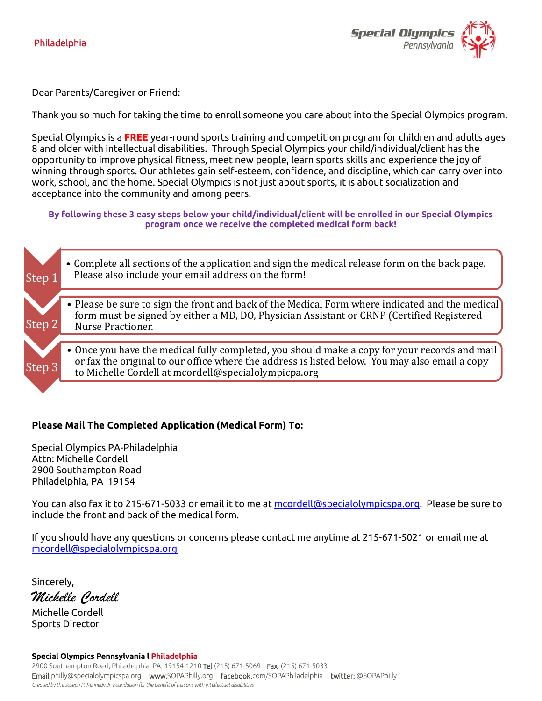

Dear Parents/Caregiver or Friend:

Thank you so much for taking the time to enroll someone you care about into the Special Olympics program.

Special Olympics is a **FREE** year-round sports training and competition program for children and adults ages 8 and older with intellectual disabilities. Through Special Olympics your child/individual/client has the opportunity to improve physical fitness, meet new people, learn sports skills and experience the joy of winning through sports. Our athletes gain self-esteem, confidence, and discipline, which can carry over into work, school, and the home. Special Olympics is not just about sports, it is about socialization and acceptance into the community and among peers.

**By following these 3 easy steps below your child/individual/client will be enrolled in our Special Olympics program once we receive the completed medical form back!**



## **Please Mail The Completed Application (Medical Form) To:**

Special Olympics PA-Philadelphia Attn: Michelle Cordell 2900 Southampton Road Philadelphia, PA 19154

You can also fax it to 215-671-5033 or email it to me at [mcordell@specialolympicspa.org.](mailto:mcordell@specialolympicspa.org) Please be sure to include the front and back of the medical form.

If you should have any questions or concerns please contact me anytime at 215-671-5021 or email me at [mcordell@specialolympicspa.org](mailto:mcordell@specialolympicspa.org)

Sincerely, *Michelle Cordell*

Michelle Cordell Sports Director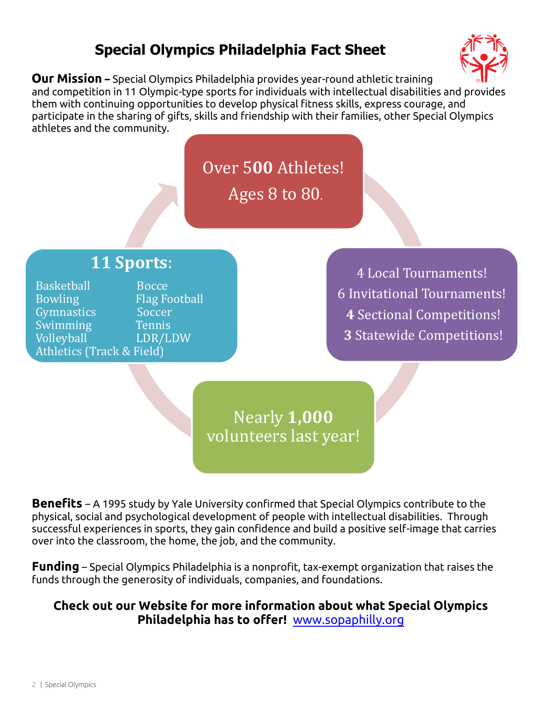# **Special Olympics Philadelphia Fact Sheet**



**Our Mission –** Special Olympics Philadelphia provides year-round athletic training and competition in 11 Olympic-type sports for individuals with intellectual disabilities and provides them with continuing opportunities to develop physical fitness skills, express courage, and participate in the sharing of gifts, skills and friendship with their families, other Special Olympics athletes and the community.

> Over 5**00** Athletes! Ages 8 to 80.

# **11 Sports**:

Basketball Bocce Bowling Flag Football Gymnastics Soccer Swimming Tennis Volleyball LDR/LDW Athletics (Track & Field)

4 Local Tournaments! 6 Invitational Tournaments! **4** Sectional Competitions! **3** Statewide Competitions!

Nearly **1,000**  volunteers last year!

**Benefits** – A 1995 study by Yale University confirmed that Special Olympics contribute to the physical, social and psychological development of people with intellectual disabilities. Through successful experiences in sports, they gain confidence and build a positive self-image that carries over into the classroom, the home, the job, and the community.

**Funding** – Special Olympics Philadelphia is a nonprofit, tax-exempt organization that raises the funds through the generosity of individuals, companies, and foundations.

## **Check out our Website for more information about what Special Olympics Philadelphia has to offer!** www.sopaphilly.org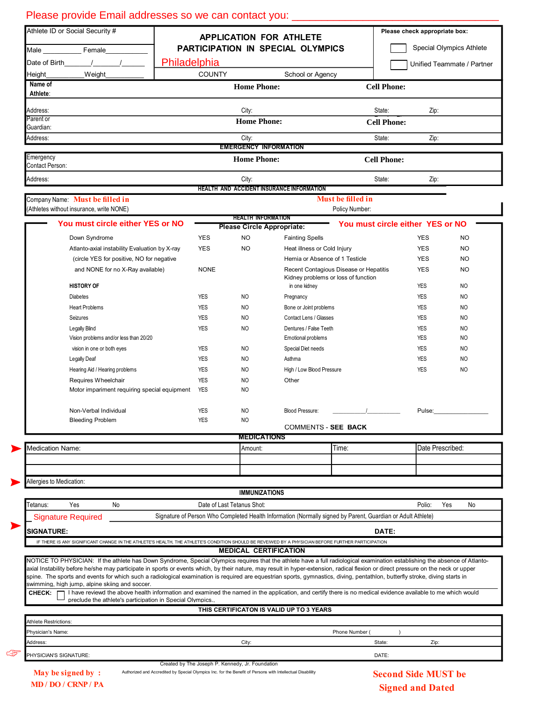| Athlete ID or Social Security # |                                                                                                                                                    | <b>APPLICATION FOR ATHLETE</b><br>PARTICIPATION IN SPECIAL OLYMPICS |                          |                                                  |                                                                                                             | Please check appropriate box:                                                                                                                                                      |                            |          |  |
|---------------------------------|----------------------------------------------------------------------------------------------------------------------------------------------------|---------------------------------------------------------------------|--------------------------|--------------------------------------------------|-------------------------------------------------------------------------------------------------------------|------------------------------------------------------------------------------------------------------------------------------------------------------------------------------------|----------------------------|----------|--|
| Female<br>Male $\_\_$           |                                                                                                                                                    |                                                                     |                          |                                                  |                                                                                                             | Special Olympics Athlete                                                                                                                                                           |                            |          |  |
| Date of Birth                   | $\frac{1}{2}$                                                                                                                                      | Philadelphia                                                        |                          |                                                  |                                                                                                             | Unified Teammate / Partner                                                                                                                                                         |                            |          |  |
| Height_                         | Weight                                                                                                                                             |                                                                     | <b>COUNTY</b>            |                                                  | School or Agency                                                                                            |                                                                                                                                                                                    |                            |          |  |
| Name of                         |                                                                                                                                                    |                                                                     |                          | <b>Home Phone:</b>                               |                                                                                                             | <b>Cell Phone:</b>                                                                                                                                                                 |                            |          |  |
| Athlete:                        |                                                                                                                                                    |                                                                     |                          |                                                  |                                                                                                             |                                                                                                                                                                                    |                            |          |  |
| Address:                        |                                                                                                                                                    |                                                                     |                          | City:                                            |                                                                                                             | State:                                                                                                                                                                             | Zip:                       |          |  |
| Parent or                       |                                                                                                                                                    |                                                                     |                          | <b>Home Phone:</b>                               |                                                                                                             | <b>Cell Phone:</b>                                                                                                                                                                 |                            |          |  |
| Guardian:                       |                                                                                                                                                    |                                                                     |                          | City:                                            |                                                                                                             | State:                                                                                                                                                                             | Zip:                       |          |  |
| Address:                        |                                                                                                                                                    |                                                                     |                          | <b>EMERGENCY INFORMATION</b>                     |                                                                                                             |                                                                                                                                                                                    |                            |          |  |
| Emergency<br>Contact Person:    |                                                                                                                                                    |                                                                     | <b>Home Phone:</b>       |                                                  |                                                                                                             |                                                                                                                                                                                    | <b>Cell Phone:</b>         |          |  |
| Address:                        |                                                                                                                                                    |                                                                     |                          | City:                                            |                                                                                                             | State:                                                                                                                                                                             | Zip:                       |          |  |
|                                 |                                                                                                                                                    |                                                                     |                          |                                                  | <b>HEALTH AND ACCIDENT INSURANCE INFORMATION</b>                                                            |                                                                                                                                                                                    |                            |          |  |
|                                 | Company Name: Must be filled in                                                                                                                    |                                                                     |                          |                                                  |                                                                                                             | Must be filled in                                                                                                                                                                  |                            |          |  |
|                                 | (Athletes without insurance, write NONE)                                                                                                           |                                                                     |                          | <b>HEALTH INFORMATION</b>                        |                                                                                                             | Policy Number:                                                                                                                                                                     |                            |          |  |
|                                 | You must circle either YES or NO                                                                                                                   |                                                                     |                          |                                                  | <b>Please Circle Appropriate:</b>                                                                           | You must circle either YES or NO                                                                                                                                                   |                            |          |  |
|                                 | Down Syndrome                                                                                                                                      |                                                                     | <b>YES</b>               | <b>NO</b>                                        | <b>Fainting Spells</b>                                                                                      |                                                                                                                                                                                    | <b>YES</b>                 | NO.      |  |
|                                 | Atlanto-axial instability Evaluation by X-ray                                                                                                      |                                                                     | <b>YES</b>               | <b>NO</b>                                        |                                                                                                             | Heat illness or Cold Injury                                                                                                                                                        | <b>YES</b>                 | NO.      |  |
|                                 | (circle YES for positive, NO for negative                                                                                                          |                                                                     |                          |                                                  |                                                                                                             | Hernia or Absence of 1 Testicle                                                                                                                                                    | <b>YES</b>                 | NO.      |  |
|                                 | and NONE for no X-Ray available)                                                                                                                   |                                                                     | <b>NONE</b>              |                                                  |                                                                                                             | Recent Contagious Disease or Hepatitis                                                                                                                                             | <b>YES</b>                 | NO.      |  |
|                                 |                                                                                                                                                    |                                                                     |                          |                                                  |                                                                                                             | Kidney problems or loss of function                                                                                                                                                |                            |          |  |
|                                 | <b>HISTORY OF</b>                                                                                                                                  |                                                                     |                          |                                                  | in one kidney                                                                                               |                                                                                                                                                                                    | <b>YES</b>                 | NO       |  |
|                                 | <b>Diabetes</b>                                                                                                                                    |                                                                     | <b>YES</b>               | <b>NO</b>                                        | Pregnancy                                                                                                   |                                                                                                                                                                                    | <b>YES</b>                 | NO       |  |
|                                 | <b>Heart Problems</b>                                                                                                                              |                                                                     | <b>YES</b>               | <b>NO</b>                                        | Bone or Joint problems                                                                                      |                                                                                                                                                                                    | <b>YES</b>                 | NO       |  |
|                                 | Seizures                                                                                                                                           |                                                                     | <b>YES</b>               | <b>NO</b>                                        | Contact Lens / Glasses                                                                                      |                                                                                                                                                                                    | <b>YES</b>                 | NO       |  |
|                                 | Legally Blind<br>Vision problems and/or less than 20/20                                                                                            |                                                                     | <b>YES</b>               | <b>NO</b>                                        | Dentures / False Teeth<br>Emotional problems                                                                |                                                                                                                                                                                    | <b>YES</b><br><b>YES</b>   | NO<br>NO |  |
|                                 | vision in one or both eyes                                                                                                                         |                                                                     | <b>YES</b>               | <b>NO</b>                                        | Special Diet needs                                                                                          |                                                                                                                                                                                    | <b>YES</b>                 | NO       |  |
|                                 | <b>Legally Deaf</b>                                                                                                                                |                                                                     | <b>YES</b>               | <b>NO</b>                                        | Asthma                                                                                                      |                                                                                                                                                                                    | <b>YES</b>                 | NO       |  |
|                                 |                                                                                                                                                    |                                                                     |                          |                                                  |                                                                                                             |                                                                                                                                                                                    |                            |          |  |
|                                 | Hearing Aid / Hearing problems                                                                                                                     |                                                                     | <b>YES</b>               | <b>NO</b>                                        | High / Low Blood Pressure                                                                                   |                                                                                                                                                                                    | <b>YES</b>                 | NO       |  |
|                                 | Requires Wheelchair<br>Motor impariment requiring special equipment                                                                                |                                                                     | <b>YES</b><br><b>YES</b> | <b>NO</b><br><b>NO</b>                           | Other                                                                                                       |                                                                                                                                                                                    |                            |          |  |
|                                 |                                                                                                                                                    |                                                                     |                          |                                                  |                                                                                                             |                                                                                                                                                                                    |                            |          |  |
|                                 | Non-Verbal Individual                                                                                                                              |                                                                     | YES                      | <b>NO</b>                                        | Blood Pressure:                                                                                             |                                                                                                                                                                                    | Pulse:                     |          |  |
|                                 | <b>Bleeding Problem</b>                                                                                                                            |                                                                     | <b>YES</b>               | <b>NO</b>                                        |                                                                                                             |                                                                                                                                                                                    |                            |          |  |
|                                 |                                                                                                                                                    |                                                                     |                          | <b>MEDICATIONS</b>                               |                                                                                                             | <b>COMMENIS - SEE BACK</b>                                                                                                                                                         |                            |          |  |
| Medication Name:                |                                                                                                                                                    |                                                                     |                          | Amount:                                          |                                                                                                             | Time:                                                                                                                                                                              | Date Prescribed:           |          |  |
|                                 |                                                                                                                                                    |                                                                     |                          |                                                  |                                                                                                             |                                                                                                                                                                                    |                            |          |  |
|                                 |                                                                                                                                                    |                                                                     |                          |                                                  |                                                                                                             |                                                                                                                                                                                    |                            |          |  |
| Allergies to Medication:        |                                                                                                                                                    |                                                                     |                          |                                                  |                                                                                                             |                                                                                                                                                                                    |                            |          |  |
|                                 |                                                                                                                                                    |                                                                     |                          | <b>IMMUNIZATIONS</b>                             |                                                                                                             |                                                                                                                                                                                    |                            |          |  |
| Гetanus:                        | Yes<br>No                                                                                                                                          |                                                                     |                          | Date of Last Tetanus Shot:                       |                                                                                                             |                                                                                                                                                                                    | Yes<br>Polio:              | No       |  |
|                                 | <b>Signature Required</b>                                                                                                                          |                                                                     |                          |                                                  |                                                                                                             | Signature of Person Who Completed Health Information (Normally signed by Parent, Guardian or Adult Athlete)                                                                        |                            |          |  |
|                                 |                                                                                                                                                    |                                                                     |                          |                                                  |                                                                                                             |                                                                                                                                                                                    |                            |          |  |
| <b>SIGNATURE:</b>               |                                                                                                                                                    |                                                                     |                          |                                                  |                                                                                                             | DATE:                                                                                                                                                                              |                            |          |  |
|                                 | IF THERE IS ANY SIGNIFICANT CHANGE IN THE ATHLETE'S HEALTH, THE ATHLETE'S CONDITION SHOULD BE REVEIWED BY A PHYSICIAN BEFORE FURTHER PARTICIPATION |                                                                     |                          |                                                  | <b>MEDICAL CERTIFICATION</b>                                                                                |                                                                                                                                                                                    |                            |          |  |
|                                 |                                                                                                                                                    |                                                                     |                          |                                                  |                                                                                                             | NOTICE TO PHYSICIAN: If the athlete has Down Syndrome, Special Olympics requires that the athlete have a full radiological examination establishing the absence of Atlanto-        |                            |          |  |
|                                 |                                                                                                                                                    |                                                                     |                          |                                                  |                                                                                                             | axial Instability before he/she may participate in sports or events which, by their nature, may result in hyper-extension, radical flexion or direct pressure on the neck or upper |                            |          |  |
|                                 | swimming, high jump, alpine skiing and soccer.                                                                                                     |                                                                     |                          |                                                  |                                                                                                             | spine. The sports and events for which such a radiological examination is required are equestrian sports, gymnastics, diving, pentathlon, butterfly stroke, diving starts in       |                            |          |  |
| CHECK:                          |                                                                                                                                                    |                                                                     |                          |                                                  |                                                                                                             | I have reviewd the above health information and examined the named in the application, and certify there is no medical evidence available to me which would                        |                            |          |  |
|                                 | preclude the athlete's participation in Special Olympics                                                                                           |                                                                     |                          |                                                  |                                                                                                             |                                                                                                                                                                                    |                            |          |  |
|                                 |                                                                                                                                                    |                                                                     |                          |                                                  | THIS CERTIFICATON IS VALID UP TO 3 YEARS                                                                    |                                                                                                                                                                                    |                            |          |  |
| Athlete Restrictions:           |                                                                                                                                                    |                                                                     |                          |                                                  |                                                                                                             |                                                                                                                                                                                    |                            |          |  |
| Physician's Name:               |                                                                                                                                                    |                                                                     |                          |                                                  |                                                                                                             | Phone Number (                                                                                                                                                                     |                            |          |  |
| Address:                        |                                                                                                                                                    |                                                                     |                          | City:                                            |                                                                                                             | State:                                                                                                                                                                             | Zip:                       |          |  |
| PHYSICIAN'S SIGNATURE:          |                                                                                                                                                    |                                                                     |                          |                                                  |                                                                                                             | DATE:                                                                                                                                                                              |                            |          |  |
|                                 |                                                                                                                                                    |                                                                     |                          | Created by The Joseph P. Kennedy, Jr. Foundation | Authorized and Accredited by Special Olympics Inc. for the Benefit of Persons with Intellectual Disablility |                                                                                                                                                                                    |                            |          |  |
|                                 | May be signed by:<br>MD / DO / CRNP / PA                                                                                                           |                                                                     |                          |                                                  |                                                                                                             |                                                                                                                                                                                    | <b>Second Side MUST be</b> |          |  |
|                                 |                                                                                                                                                    |                                                                     |                          |                                                  |                                                                                                             |                                                                                                                                                                                    | <b>Signed and Dated</b>    |          |  |